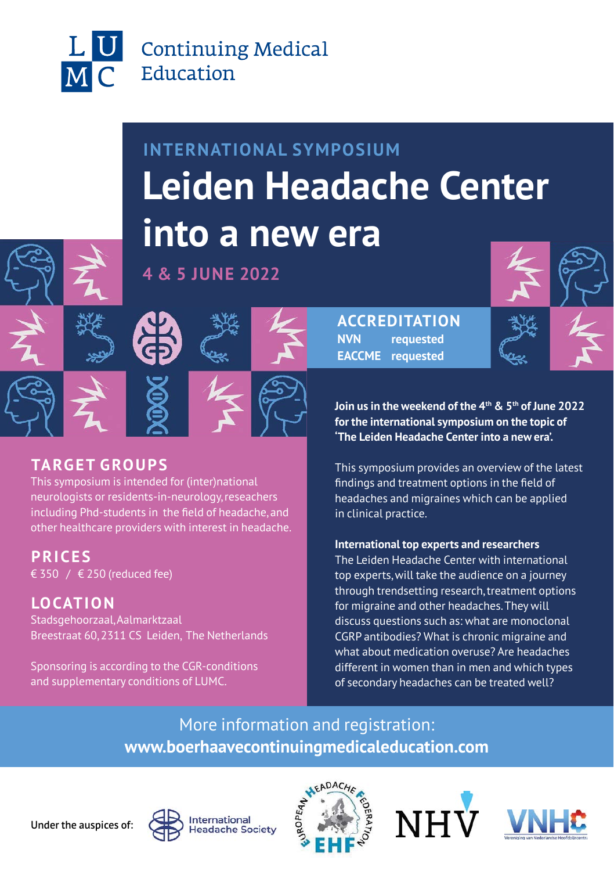

# **INTERNATIONAL SYMPOSIUM Leiden Headache Center into a new era**

### **4 & 5 JUNE 2022**

**ACCREDITATION NVN requested EACCME requested**

**Join us in the weekend of the 4th & 5th of June 2022 for the international symposium on the topic of 'The Leiden Headache Center into a new era'.** 

This symposium provides an overview of the latest findings and treatment options in the field of headaches and migraines which can be applied in clinical practice.

**International top experts and researchers**  The Leiden Headache Center with international top experts, will take the audience on a journey through trendsetting research, treatment options for migraine and other headaches. They will discuss questions such as: what are monoclonal CGRP antibodies? What is chronic migraine and what about medication overuse? Are headaches different in women than in men and which types of secondary headaches can be treated well?

More information and registration: **[www.boerhaavecontinuingmedicaleducation.com](https://www.boerhaavecontinuingmedicaleducation.com/medical-extensions/2022/leiden-headache-center-into-a-new-era/)**



**TARGET GROUPS**

€ 350 / € 250 (reduced fee)

Stadsgehoorzaal, Aalmarktzaal

**PRICES**

**LOCATION**

This symposium is intended for (inter)national neurologists or residents-in-neurology, reseachers including Phd-students in the field of headache, and other healthcare providers with interest in headache.

Breestraat 60, 2311 CS Leiden, The Netherlands

Sponsoring is according to the CGR-conditions and supplementary conditions of LUMC.